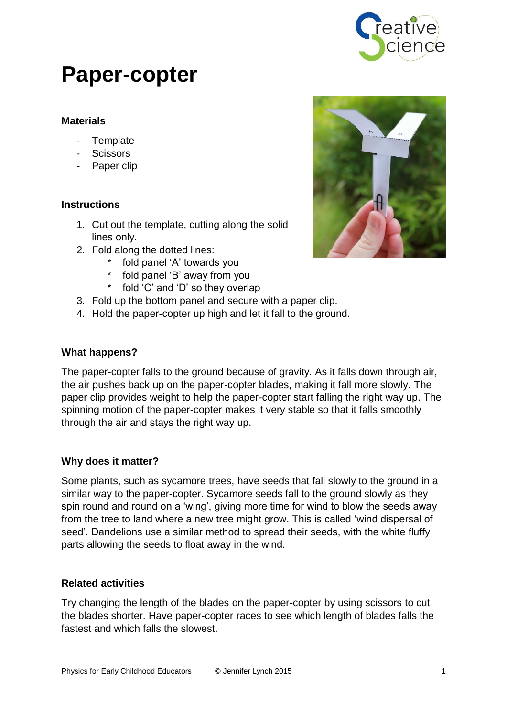

# **Paper-copter**

## **Materials**

- Template
- **Scissors**
- Paper clip

### **Instructions**

- 1. Cut out the template, cutting along the solid lines only.
- 2. Fold along the dotted lines:
	- fold panel 'A' towards you
	- fold panel 'B' away from you
	- fold 'C' and 'D' so they overlap
- 3. Fold up the bottom panel and secure with a paper clip.
- 4. Hold the paper-copter up high and let it fall to the ground.

### **What happens?**

The paper-copter falls to the ground because of gravity. As it falls down through air, the air pushes back up on the paper-copter blades, making it fall more slowly. The paper clip provides weight to help the paper-copter start falling the right way up. The spinning motion of the paper-copter makes it very stable so that it falls smoothly through the air and stays the right way up.

#### **Why does it matter?**

Some plants, such as sycamore trees, have seeds that fall slowly to the ground in a similar way to the paper-copter. Sycamore seeds fall to the ground slowly as they spin round and round on a 'wing', giving more time for wind to blow the seeds away from the tree to land where a new tree might grow. This is called 'wind dispersal of seed'. Dandelions use a similar method to spread their seeds, with the white fluffy parts allowing the seeds to float away in the wind.

#### **Related activities**

Try changing the length of the blades on the paper-copter by using scissors to cut the blades shorter. Have paper-copter races to see which length of blades falls the fastest and which falls the slowest.